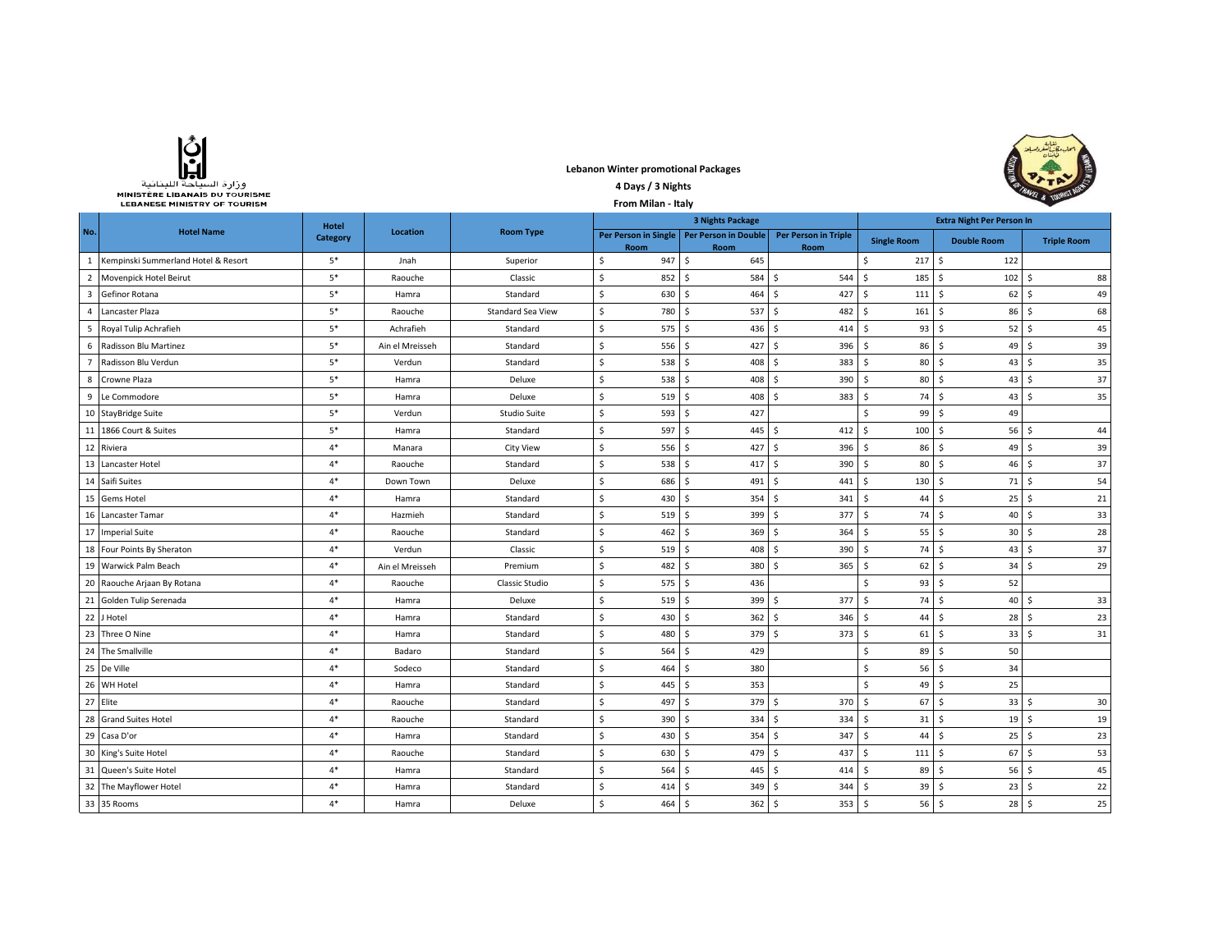

**Lebanon Winter promotional Packages 4 Days / 3 Nights** 



|                | MINISTERE LIBANAIS DU TOURISME<br><b>LEBANESE MINISTRY OF TOURISM</b> |              |                 | From Milan - Italy  | $\frac{1}{2}$ & $\frac{1}{2}$ |                              |                                     |                                  |                                    |                    |
|----------------|-----------------------------------------------------------------------|--------------|-----------------|---------------------|-------------------------------|------------------------------|-------------------------------------|----------------------------------|------------------------------------|--------------------|
|                |                                                                       | <b>Hotel</b> |                 | <b>Room Type</b>    | <b>3 Nights Package</b>       |                              |                                     | <b>Extra Night Per Person In</b> |                                    |                    |
| No.            | <b>Hotel Name</b>                                                     | Category     | Location        |                     | Per Person in Single<br>Room  | Per Person in Double<br>Room | <b>Per Person in Triple</b><br>Room | <b>Single Room</b>               | <b>Double Room</b>                 | <b>Triple Room</b> |
| 1              | Kempinski Summerland Hotel & Resort                                   | $5*$         | Jnah            | Superior            | 947<br>\$.                    | \$<br>645                    |                                     | 217S<br>\$                       | 122                                |                    |
| $\overline{2}$ | Movenpick Hotel Beirut                                                | $5*$         | Raouche         | Classic             | $\mathsf{S}$<br>852           | \$<br>584                    | Ś<br>544                            | $\zeta$<br>$185 \quad$ \$        | 102                                | 88<br>Ŝ            |
| $\overline{3}$ | Gefinor Rotana                                                        | $5*$         | Hamra           | Standard            | \$<br>630                     | Ŝ.<br>464                    | Ś.<br>427                           | $\zeta$<br>111                   | S.<br>62                           | 49<br>Ŝ.           |
| 4              | Lancaster Plaza                                                       | $5*$         | Raouche         | Standard Sea View   | $\ddot{\mathsf{S}}$<br>780    | Ŝ.<br>537                    | 482<br>Ŝ.                           | \$<br>161                        | S.<br>86                           | 68<br>-Ŝ           |
| 5              | Royal Tulip Achrafieh                                                 | $5*$         | Achrafieh       | Standard            | $\mathsf{S}$<br>575           | Ŝ.<br>436                    | \$<br>414                           | Ŝ.<br>93                         | S.<br>52                           | 45<br>-Ŝ           |
| 6              | Radisson Blu Martinez                                                 | $5*$         | Ain el Mreisseh | Standard            | \$<br>556                     | 427<br>\$                    | Ś.<br>396                           | Ŝ.<br>86                         | \$<br>49                           | 39<br>-Ś           |
|                | Radisson Blu Verdun                                                   | $5^\ast$     | Verdun          | Standard            | \$<br>538                     | Ś<br>408                     | Ś.<br>383                           | \$<br>80                         | $\mathsf{S}$<br>43                 | 35<br>Ŝ            |
| 8              | Crowne Plaza                                                          | $5*$         | Hamra           | Deluxe              | \$<br>538                     | 408<br>Ŝ                     | Ś<br>390                            | Ś.                               | $80$ $\sqrt{5}$<br>43              | 37<br>Ŝ            |
| 9              | Le Commodore                                                          | $5*$         | Hamra           | Deluxe              | \$<br>519                     | 408<br>Ŝ                     | Ś.<br>383                           | Ŝ.                               | 74S<br>43                          | 35<br>Ŝ.           |
| 10             | <b>StayBridge Suite</b>                                               | $5*$         | Verdun          | <b>Studio Suite</b> | Ś.<br>593                     | Ŝ.<br>427                    |                                     | Ś.<br>$99 \quad$ \$              | 49                                 |                    |
| 11             | 1866 Court & Suites                                                   | $5*$         | Hamra           | Standard            | \$<br>597                     | 445<br>Ŝ.                    | Ŝ<br>412                            | \$<br>$100 \,$ \$                | 56                                 | 44<br>S,           |
| 12             | Riviera                                                               | $4*$         | Manara          | <b>City View</b>    | \$<br>556                     | Ŝ.<br>427                    | $396$ \$<br>\$                      |                                  | $86$ $\frac{2}{3}$<br>49           | 39<br>-Ś           |
| 13             | Lancaster Hotel                                                       | $4*$         | Raouche         | Standard            | \$<br>538                     | 417S<br>S.                   | $390 \quad $$                       |                                  | $80 \quad$ \$<br>46                | 37<br>Ŝ            |
| 14             | Saifi Suites                                                          | $4*$         | Down Town       | Deluxe              | \$<br>686                     | Ŝ.<br>491                    | \$<br>441                           | $\ddot{\mathsf{s}}$<br>130       | S.<br>71                           | 54<br>-S           |
| 15             | <b>Gems Hotel</b>                                                     | $4*$         | Hamra           | Standard            | \$<br>430                     | Ŝ.<br>354                    | Ŝ<br>341                            | $\mathsf S$<br>44                | S.<br>$25 \quad S$                 | 21                 |
| 16             | Lancaster Tamar                                                       | $4*$         | Hazmieh         | Standard            | $\mathsf{S}$<br>519           | Ŝ.<br>399                    | Ś<br>377                            | $\mathsf{S}$                     | 74S<br>40                          | Ŝ.<br>33           |
| 17             | <b>Imperial Suite</b>                                                 | $4*$         | Raouche         | Standard            | \$<br>462                     | Ŝ.<br>$369$ \$               | 364                                 | $\mathsf{S}$<br>55               | l \$<br>30 <sup>1</sup>            | 28<br>-Ś           |
| 18             | Four Points By Sheraton                                               | $4*$         | Verdun          | Classic             | \$<br>519                     | Ŝ.<br>408                    | 390<br>Ŝ.                           | S.                               | $74 \mid S$<br>43                  | 37<br>-Ŝ           |
| 19             | Warwick Palm Beach                                                    | $4*$         | Ain el Mreisseh | Premium             | \$<br>482                     | Ŝ.<br>380                    | 365<br>Ś.                           | S.<br>62                         | l \$<br>34                         | 29<br>-Ś           |
| 20             | Raouche Arjaan By Rotana                                              | $4*$         | Raouche         | Classic Studio      | \$<br>575                     | S.<br>436                    |                                     | \$.<br>93                        | S.<br>52                           |                    |
| 21             | Golden Tulip Serenada                                                 | $4*$         | Hamra           | Deluxe              | \$<br>519                     | Ś<br>399                     | Ś.<br>377                           | Ś.<br>74                         | S.<br>40                           | 33<br>Ŝ            |
| 22             | J Hotel                                                               | $4*$         | Hamra           | Standard            | \$<br>430                     | 362<br>Ŝ                     | 346<br>Ŝ                            | \$<br>44                         | -\$<br>28                          | 23<br>-S           |
| 23             | Three O Nine                                                          | $4*$         | Hamra           | Standard            | \$<br>480                     | 379<br>Ŝ                     | Ś.<br>373                           | \$.                              | $61$ $\sqrt{5}$<br>33              | 31<br>Ŝ            |
| 24             | The Smallville                                                        | $4*$         | Badaro          | Standard            | $\mathsf{S}$<br>564           | Ŝ<br>429                     |                                     | \$<br>$89 \quad$ \$              | 50                                 |                    |
| 25             | De Ville                                                              | $4*$         | Sodeco          | Standard            | \$<br>464                     | 380<br>Ŝ                     |                                     | \$                               | $56 \quad$<br>34                   |                    |
| 26             | WH Hotel                                                              | $4*$         | Hamra           | Standard            | \$<br>445                     | Ŝ.<br>353                    |                                     | Ś.                               | $49 \mid \zeta$<br>25              |                    |
| 27             | Elite                                                                 | $4*$         | Raouche         | Standard            | \$<br>497                     | 379<br>S.                    | 370<br>\$                           | l \$<br>67                       | l \$<br>33                         | 30<br>-Ŝ           |
| 28             | <b>Grand Suites Hotel</b>                                             | $4*$         | Raouche         | Standard            | \$<br>390                     | Ś<br>334                     | \$<br>334                           | $\mathsf S$<br>31                | S.<br>19                           | 19<br>\$           |
|                | 29 Casa D'or                                                          | $4*$         | Hamra           | Standard            | \$<br>430                     | Ŝ.<br>354                    | Ś<br>347                            | \$<br>44                         | Ŝ.<br>25                           | 23<br>\$           |
| 30             | King's Suite Hotel                                                    | $4*$         | Raouche         | Standard            | \$<br>630                     | 479<br>Ś                     | \$<br>437                           | \$<br>111                        | S.<br>67                           | Ŝ<br>53            |
| 31             | Queen's Suite Hotel                                                   | $4*$         | Hamra           | Standard            | \$<br>564                     | 445<br>S.                    | Ś.<br>414                           | S.<br>89                         | $\mathsf{S}$<br>56                 | 45<br>-Ŝ           |
| 32             | The Mayflower Hotel                                                   | $4*$         | Hamra           | Standard            | \$<br>414                     | 349<br>Ŝ                     | 344<br>Ŝ.                           | \$<br>39                         | 23<br>S.                           | 22<br>-S           |
|                | 33 35 Rooms                                                           | $4*$         | Hamra           | Deluxe              | $\mathsf{S}$<br>464           | Ŝ.<br>$362 \quad$ \$         | $353$ \$                            |                                  | $56$ $\sqrt{5}$<br>28 <sub>5</sub> | 25                 |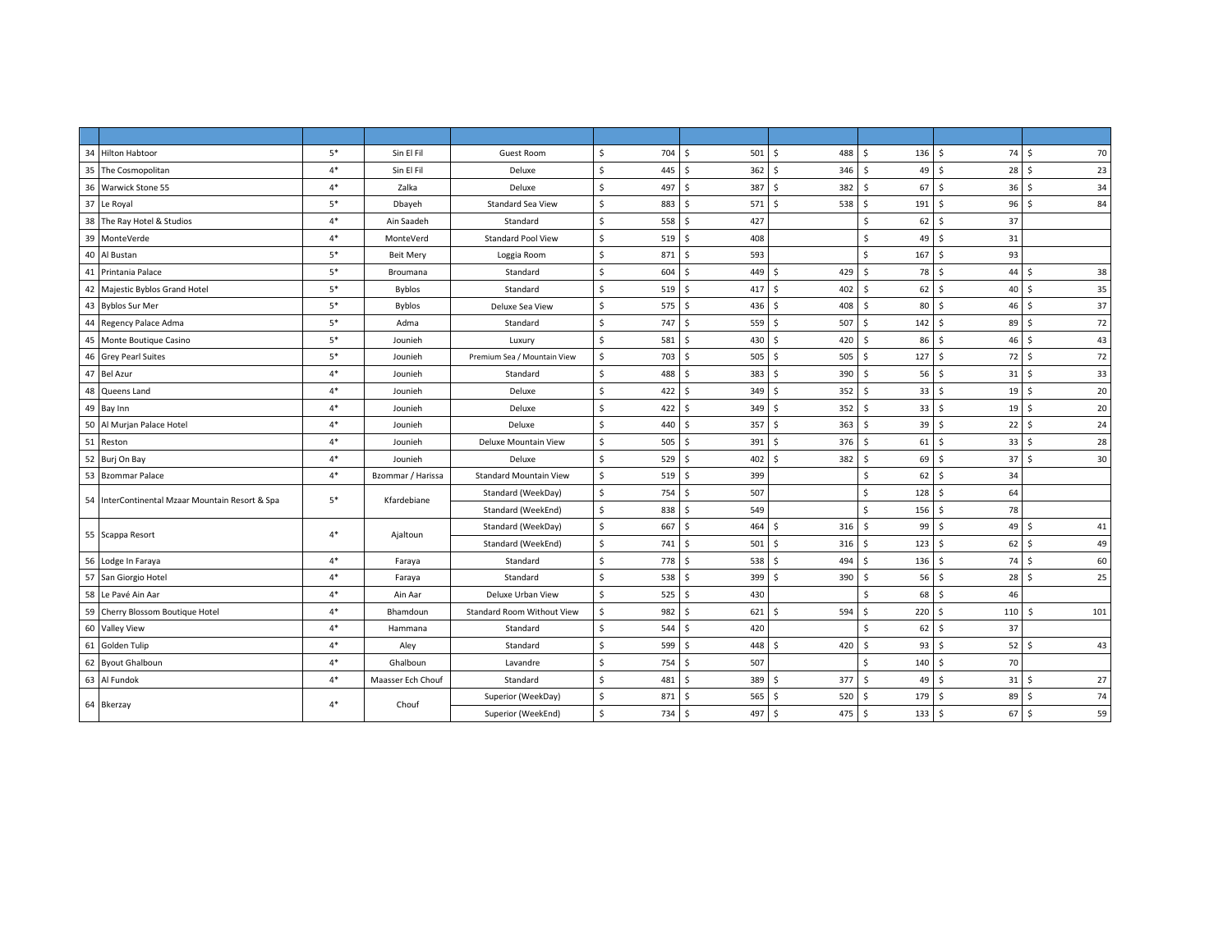| 34 Hilton Habtoor                               | $5*$ | Sin El Fil        | Guest Room                        | \$<br>704 | $501 \,$ \$<br>\$       | 488                 | \$<br>$136 \quad $$  | 74         | 70<br>- Ś            |
|-------------------------------------------------|------|-------------------|-----------------------------------|-----------|-------------------------|---------------------|----------------------|------------|----------------------|
| 35 The Cosmopolitan                             | $4*$ | Sin El Fil        | Deluxe                            | \$<br>445 | \$<br>$362 \quad $$     | 346                 | 49<br>Ŝ.             | 28<br>l \$ | -\$<br>23            |
| 36 Warwick Stone 55                             | $4*$ | Zalka             | Deluxe                            | \$<br>497 | \$<br>387               | S.<br>382           | Ŝ.<br>67             | l \$<br>36 | 34<br>-\$            |
| 37 Le Royal                                     | $5*$ | Dbayeh            | <b>Standard Sea View</b>          | \$<br>883 | Ś<br>571S               | 538                 | \$<br>191            | l \$<br>96 | $\mathsf{s}$<br>84   |
| 38 The Ray Hotel & Studios                      | $4*$ | Ain Saadeh        | Standard                          | 558<br>\$ | Ś<br>427                |                     | 62<br>Ŝ.             | 37<br>۱Ś.  |                      |
| 39<br>MonteVerde                                | $4*$ | MonteVerd         | <b>Standard Pool View</b>         | Ś<br>519  | Ś<br>408                |                     | <sub>S</sub><br>49   | l \$<br>31 |                      |
| 40<br>Al Bustan                                 | $5*$ | <b>Beit Mery</b>  | Loggia Room                       | Ś.<br>871 | Ś<br>593                |                     | \$<br>167            | 93<br>S.   |                      |
| 41 Printania Palace                             | $5*$ | Broumana          | Standard                          | \$<br>604 | Ś<br>449                | -Ś<br>429           | Ŝ.<br>78             | 44<br>۱Ś.  | 38<br><sup>5</sup>   |
| 42 Majestic Byblos Grand Hotel                  | $5*$ | <b>Byblos</b>     | Standard                          | Ś.<br>519 | Ś<br>417S               | 402                 | 62<br>-Ś             | 40<br>l S  | 35<br>-Ś             |
| 43 Byblos Sur Mer                               | $5*$ | Byblos            | Deluxe Sea View                   | Ś.<br>575 | \$<br>436 \$            | 408                 | Ŝ.<br>80 \$          | 46         | 37<br>- Ś            |
| 44 Regency Palace Adma                          | $5*$ | Adma              | Standard                          | \$<br>747 | Ś<br>559 \$             | 507                 | $142 \quad$ \$<br>\$ | 89         | 72<br>-\$            |
| 45 Monte Boutique Casino                        | $5*$ | Jounieh           | Luxury                            | \$<br>581 | Ś.<br>430 \$            | 420                 | Ŝ.<br>86             | l s<br>46  | 43<br>Ŝ.             |
| 46 Grey Pearl Suites                            | $5*$ | Jounieh           | Premium Sea / Mountain View       | Ś.<br>703 | Ś.<br>$505 \quad$ \$    | 505                 | 127<br>Ŝ.            | 72<br>l s  | 72<br>-\$            |
| 47 Bel Azur                                     | $4*$ | Jounieh           | Standard                          | \$<br>488 | Š.<br>3835              | 390                 | 56<br>Ŝ.             | l \$<br>31 | 33<br>S.             |
| 48 Queens Land                                  | $4*$ | Jounieh           | Deluxe                            | \$<br>422 | Ś<br>349                | -Ś<br>352           | Ŝ.<br>33             | 19<br>l s  | 20<br>-Ś             |
| 49 Bay Inn                                      | $4*$ | Jounieh           | Deluxe                            | \$<br>422 | Ś<br>349 \$             | 352                 | $\mathsf{S}$<br>33   | l s<br>19  | 20<br>Ŝ.             |
| 50 Al Murjan Palace Hotel                       | $4*$ | Jounieh           | Deluxe                            | Ś<br>440  | Š.<br>357S              | 363                 | Ŝ.<br>39             | 22<br>l \$ | 24<br>-\$            |
| 51 Reston                                       | $4*$ | Jounieh           | Deluxe Mountain View              | \$<br>505 | Ś.<br>391S              | 376                 | Ŝ.<br>61             | l \$<br>33 | 28<br>S.             |
| 52 Burj On Bay                                  | $4*$ | Jounieh           | Deluxe                            | \$<br>529 | Š.<br>402               | 382<br>$\mathsf{S}$ | 69<br>Ŝ.             | l s<br>37  | 30<br>Ŝ.             |
| 53 Bzommar Palace                               | $4*$ | Bzommar / Harissa | <b>Standard Mountain View</b>     | Ś<br>519  | Ś.<br>399               |                     | Ŝ.<br>62             | 34<br>۱Ś.  |                      |
| 54 InterContinental Mzaar Mountain Resort & Spa | $5*$ | Kfardebiane       | Standard (WeekDay)                | \$<br>754 | Ś<br>507                |                     | 128<br>\$            | 64<br>l S  |                      |
|                                                 |      |                   | Standard (WeekEnd)                | \$<br>838 | Ś.<br>549               |                     | \$<br>156            | l \$<br>78 |                      |
| 55 Scappa Resort                                | $4*$ | Ajaltoun          | Standard (WeekDay)                | \$<br>667 | Ś<br>464                | Ŝ.<br>316           | 99<br>\$             | 49<br>۱Ś.  | 41<br>-\$            |
|                                                 |      |                   | Standard (WeekEnd)                | \$<br>741 | Ś.<br>$501 \quad$ \$    | 316                 | \$<br>123            | l \$<br>62 | 49<br>- Ś            |
| 56 Lodge In Faraya                              | $4*$ | Faraya            | Standard                          | \$<br>778 | \$<br>538 \$            | 494                 | $136 \quad $$<br>\$  | 74         | 60<br>-\$            |
| 57 San Giorgio Hotel                            | $4*$ | Faraya            | Standard                          | \$<br>538 | Ś.<br>399               | 390<br>Ŝ.           | $56$ \$<br>Ŝ.        | 28         | 25<br>Ŝ              |
| 58 Le Pavé Ain Aar                              | $4*$ | Ain Aar           | Deluxe Urban View                 | \$<br>525 | Ś<br>430                |                     | <sub>S</sub><br>68   | 46<br>l s  |                      |
| 59 Cherry Blossom Boutique Hotel                | $4*$ | Bhamdoun          | <b>Standard Room Without View</b> | Ś<br>982  | Ś.<br>621               | S.<br>594           | 220<br>Ŝ.            | l s<br>110 | 101<br><sup>\$</sup> |
| 60 Valley View                                  | $4*$ | Hammana           | Standard                          | \$<br>544 | 420<br>Š.               |                     | 62<br>Ŝ.             | 37<br>۱Ś.  |                      |
| 61 Golden Tulip                                 | $4*$ | Aley              | Standard                          | Ś.<br>599 | Ś.<br>448 S             | 420                 | 93<br>Ŝ.             | l \$<br>52 | 43<br>-Ś             |
| 62 Byout Ghalboun                               | $4*$ | Ghalboun          | Lavandre                          | \$<br>754 | Ś.<br>507               |                     | Ŝ.<br>140            | 70<br>l \$ |                      |
| 63 Al Fundok                                    | $4*$ | Maasser Ech Chouf | Standard                          | \$<br>481 | Ś<br>389 \$             | 377                 | Ŝ.<br>$49$ \$        | 31         | 27<br>- Ś            |
| 64 Bkerzay                                      |      |                   | Superior (WeekDay)                | \$<br>871 | Ś.<br>565S              | 520                 | Ŝ.<br>179            | 89<br>l \$ | 74<br>-\$            |
|                                                 | $4*$ | Chouf             | Superior (WeekEnd)                | \$<br>734 | $\frac{1}{2}$<br>497 \$ | 475                 | $133 \quad $$<br>\$  | 67         | 59<br>l\$            |